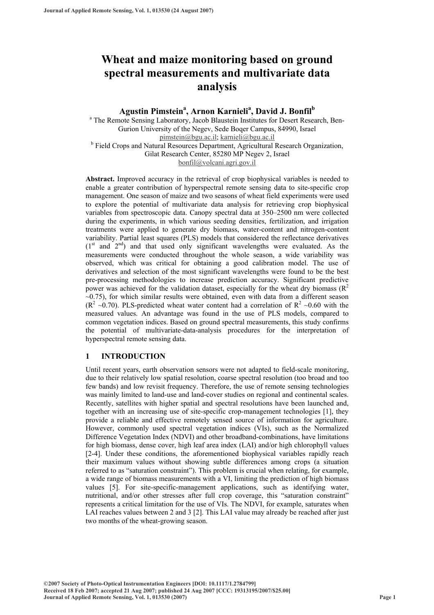# **Wheat and maize monitoring based on ground spectral measurements and multivariate data analysis**

## **Agustin Pimstein<sup>a</sup> , Arnon Karnieli<sup>a</sup> , David J. Bonfil<sup>b</sup>**

<sup>a</sup> The Remote Sensing Laboratory, Jacob Blaustein Institutes for Desert Research, Ben-Gurion University of the Negev, Sede Boqer Campus, 84990, Israel pimstein@bgu.ac.il; karnieli@bgu.ac.il <sup>b</sup> Field Crops and Natural Resources Department, Agricultural Research Organization, Gilat Research Center, 85280 MP Negev 2, Israel bonfil@volcani.agri.gov.il

**Abstract.** Improved accuracy in the retrieval of crop biophysical variables is needed to enable a greater contribution of hyperspectral remote sensing data to site-specific crop management. One season of maize and two seasons of wheat field experiments were used to explore the potential of multivariate data analysis for retrieving crop biophysical variables from spectroscopic data. Canopy spectral data at 350–2500 nm were collected during the experiments, in which various seeding densities, fertilization, and irrigation treatments were applied to generate dry biomass, water-content and nitrogen-content variability. Partial least squares (PLS) models that considered the reflectance derivatives  $(1<sup>st</sup>$  and  $2<sup>nd</sup>)$  and that used only significant wavelengths were evaluated. As the measurements were conducted throughout the whole season, a wide variability was observed, which was critical for obtaining a good calibration model. The use of derivatives and selection of the most significant wavelengths were found to be the best pre-processing methodologies to increase prediction accuracy. Significant predictive power was achieved for the validation dataset, especially for the wheat dry biomass  $(R^2)$  $\sim$ 0.75), for which similar results were obtained, even with data from a different season ( $\mathbb{R}^2$  ~0.70). PLS-predicted wheat water content had a correlation of  $\mathbb{R}^2$  ~0.60 with the measured values. An advantage was found in the use of PLS models, compared to common vegetation indices. Based on ground spectral measurements, this study confirms the potential of multivariate-data-analysis procedures for the interpretation of hyperspectral remote sensing data.

## **1 INTRODUCTION**

Until recent years, earth observation sensors were not adapted to field-scale monitoring, due to their relatively low spatial resolution, coarse spectral resolution (too broad and too few bands) and low revisit frequency. Therefore, the use of remote sensing technologies was mainly limited to land-use and land-cover studies on regional and continental scales. Recently, satellites with higher spatial and spectral resolutions have been launched and, together with an increasing use of site-specific crop-management technologies [1], they provide a reliable and effective remotely sensed source of information for agriculture. However, commonly used spectral vegetation indices (VIs), such as the Normalized Difference Vegetation Index (NDVI) and other broadband-combinations, have limitations for high biomass, dense cover, high leaf area index (LAI) and/or high chlorophyll values [2-4]. Under these conditions, the aforementioned biophysical variables rapidly reach their maximum values without showing subtle differences among crops (a situation referred to as "saturation constraint"). This problem is crucial when relating, for example, a wide range of biomass measurements with a VI, limiting the prediction of high biomass values [5]. For site-specific-management applications, such as identifying water, nutritional, and/or other stresses after full crop coverage, this "saturation constraint" represents a critical limitation for the use of VIs. The NDVI, for example, saturates when LAI reaches values between 2 and 3 [2]. This LAI value may already be reached after just two months of the wheat-growing season.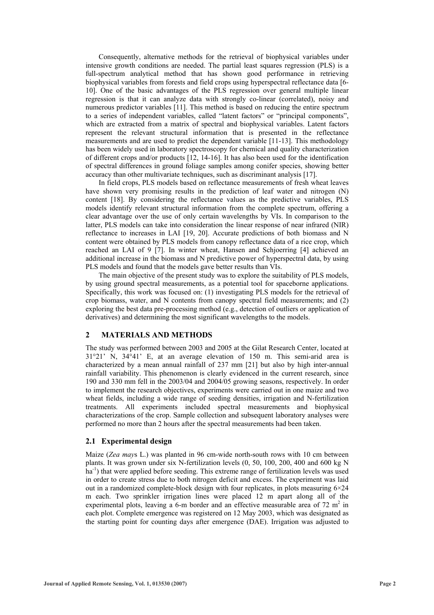Consequently, alternative methods for the retrieval of biophysical variables under intensive growth conditions are needed. The partial least squares regression (PLS) is a full-spectrum analytical method that has shown good performance in retrieving biophysical variables from forests and field crops using hyperspectral reflectance data [6- 10]. One of the basic advantages of the PLS regression over general multiple linear regression is that it can analyze data with strongly co-linear (correlated), noisy and numerous predictor variables [11]. This method is based on reducing the entire spectrum to a series of independent variables, called "latent factors" or "principal components", which are extracted from a matrix of spectral and biophysical variables. Latent factors represent the relevant structural information that is presented in the reflectance measurements and are used to predict the dependent variable [11-13]. This methodology has been widely used in laboratory spectroscopy for chemical and quality characterization of different crops and/or products [12, 14-16]. It has also been used for the identification of spectral differences in ground foliage samples among conifer species, showing better accuracy than other multivariate techniques, such as discriminant analysis [17].

In field crops, PLS models based on reflectance measurements of fresh wheat leaves have shown very promising results in the prediction of leaf water and nitrogen (N) content [18]. By considering the reflectance values as the predictive variables, PLS models identify relevant structural information from the complete spectrum, offering a clear advantage over the use of only certain wavelengths by VIs. In comparison to the latter, PLS models can take into consideration the linear response of near infrared (NIR) reflectance to increases in LAI [19, 20]. Accurate predictions of both biomass and N content were obtained by PLS models from canopy reflectance data of a rice crop, which reached an LAI of 9 [7]. In winter wheat, Hansen and Schjoerring [4] achieved an additional increase in the biomass and N predictive power of hyperspectral data, by using PLS models and found that the models gave better results than VIs.

The main objective of the present study was to explore the suitability of PLS models, by using ground spectral measurements, as a potential tool for spaceborne applications. Specifically, this work was focused on: (1) investigating PLS models for the retrieval of crop biomass, water, and N contents from canopy spectral field measurements; and (2) exploring the best data pre-processing method (e.g., detection of outliers or application of derivatives) and determining the most significant wavelengths to the models.

## **2 MATERIALS AND METHODS**

The study was performed between 2003 and 2005 at the Gilat Research Center, located at 31°21' N, 34°41' E, at an average elevation of 150 m. This semi-arid area is characterized by a mean annual rainfall of 237 mm [21] but also by high inter-annual rainfall variability. This phenomenon is clearly evidenced in the current research, since 190 and 330 mm fell in the 2003/04 and 2004/05 growing seasons, respectively. In order to implement the research objectives, experiments were carried out in one maize and two wheat fields, including a wide range of seeding densities, irrigation and N-fertilization treatments. All experiments included spectral measurements and biophysical characterizations of the crop. Sample collection and subsequent laboratory analyses were performed no more than 2 hours after the spectral measurements had been taken.

## **2.1 Experimental design**

Maize (*Zea may*s L.) was planted in 96 cm-wide north-south rows with 10 cm between plants. It was grown under six N-fertilization levels (0, 50, 100, 200, 400 and 600 kg N  $ha^{-1}$ ) that were applied before seeding. This extreme range of fertilization levels was used in order to create stress due to both nitrogen deficit and excess. The experiment was laid out in a randomized complete-block design with four replicates, in plots measuring  $6\times24$ m each. Two sprinkler irrigation lines were placed 12 m apart along all of the experimental plots, leaving a 6-m border and an effective measurable area of 72  $m<sup>2</sup>$  in each plot. Complete emergence was registered on 12 May 2003, which was designated as the starting point for counting days after emergence (DAE). Irrigation was adjusted to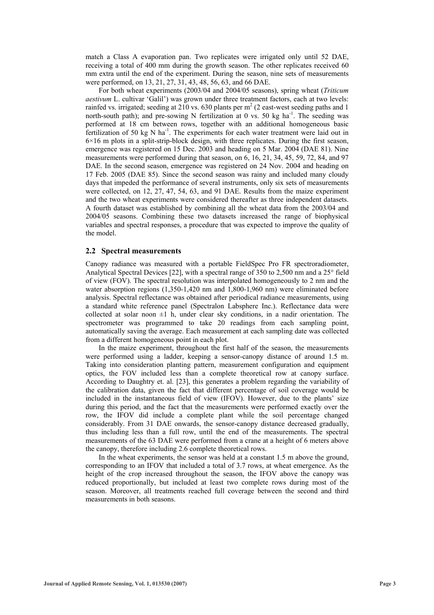match a Class A evaporation pan. Two replicates were irrigated only until 52 DAE, receiving a total of 400 mm during the growth season. The other replicates received 60 mm extra until the end of the experiment. During the season, nine sets of measurements were performed, on 13, 21, 27, 31, 43, 48, 56, 63, and 66 DAE.

For both wheat experiments (2003/04 and 2004/05 seasons), spring wheat (*Triticum aestivum* L. cultivar 'Galil') was grown under three treatment factors, each at two levels: rainfed vs. irrigated; seeding at 210 vs. 630 plants per  $m^2$  (2 east-west seeding paths and 1 north-south path); and pre-sowing N fertilization at 0 vs. 50 kg ha $^{-1}$ . The seeding was performed at 18 cm between rows, together with an additional homogeneous basic fertilization of 50 kg N ha<sup>-1</sup>. The experiments for each water treatment were laid out in 6×16 m plots in a split-strip-block design, with three replicates. During the first season, emergence was registered on 15 Dec. 2003 and heading on 5 Mar. 2004 (DAE 81). Nine measurements were performed during that season, on 6, 16, 21, 34, 45, 59, 72, 84, and 97 DAE. In the second season, emergence was registered on 24 Nov. 2004 and heading on 17 Feb. 2005 (DAE 85). Since the second season was rainy and included many cloudy days that impeded the performance of several instruments, only six sets of measurements were collected, on 12, 27, 47, 54, 63, and 91 DAE. Results from the maize experiment and the two wheat experiments were considered thereafter as three independent datasets. A fourth dataset was established by combining all the wheat data from the 2003/04 and 2004/05 seasons. Combining these two datasets increased the range of biophysical variables and spectral responses, a procedure that was expected to improve the quality of the model.

### **2.2 Spectral measurements**

Canopy radiance was measured with a portable FieldSpec Pro FR spectroradiometer, Analytical Spectral Devices [22], with a spectral range of 350 to 2,500 nm and a 25° field of view (FOV). The spectral resolution was interpolated homogeneously to 2 nm and the water absorption regions (1,350-1,420 nm and 1,800-1,960 nm) were eliminated before analysis. Spectral reflectance was obtained after periodical radiance measurements, using a standard white reference panel (Spectralon Labsphere Inc.). Reflectance data were collected at solar noon  $\pm 1$  h, under clear sky conditions, in a nadir orientation. The spectrometer was programmed to take 20 readings from each sampling point, automatically saving the average. Each measurement at each sampling date was collected from a different homogeneous point in each plot.

In the maize experiment, throughout the first half of the season, the measurements were performed using a ladder, keeping a sensor-canopy distance of around 1.5 m. Taking into consideration planting pattern, measurement configuration and equipment optics, the FOV included less than a complete theoretical row at canopy surface. According to Daughtry et. al. [23], this generates a problem regarding the variability of the calibration data, given the fact that different percentage of soil coverage would be included in the instantaneous field of view (IFOV). However, due to the plants' size during this period, and the fact that the measurements were performed exactly over the row, the IFOV did include a complete plant while the soil percentage changed considerably. From 31 DAE onwards, the sensor-canopy distance decreased gradually, thus including less than a full row, until the end of the measurements. The spectral measurements of the 63 DAE were performed from a crane at a height of 6 meters above the canopy, therefore including 2.6 complete theoretical rows.

In the wheat experiments, the sensor was held at a constant 1.5 m above the ground, corresponding to an IFOV that included a total of 3.7 rows, at wheat emergence. As the height of the crop increased throughout the season, the IFOV above the canopy was reduced proportionally, but included at least two complete rows during most of the season. Moreover, all treatments reached full coverage between the second and third measurements in both seasons.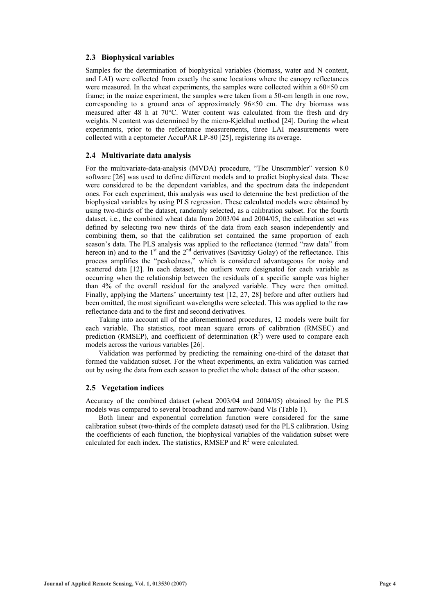## **2.3 Biophysical variables**

Samples for the determination of biophysical variables (biomass, water and N content, and LAI) were collected from exactly the same locations where the canopy reflectances were measured. In the wheat experiments, the samples were collected within a  $60 \times 50$  cm frame; in the maize experiment, the samples were taken from a 50-cm length in one row, corresponding to a ground area of approximately 96×50 cm. The dry biomass was measured after 48 h at 70°C. Water content was calculated from the fresh and dry weights. N content was determined by the micro-Kjeldhal method [24]. During the wheat experiments, prior to the reflectance measurements, three LAI measurements were collected with a ceptometer AccuPAR LP-80 [25], registering its average.

## **2.4 Multivariate data analysis**

For the multivariate-data-analysis (MVDA) procedure, "The Unscrambler" version 8.0 software [26] was used to define different models and to predict biophysical data. These were considered to be the dependent variables, and the spectrum data the independent ones. For each experiment, this analysis was used to determine the best prediction of the biophysical variables by using PLS regression. These calculated models were obtained by using two-thirds of the dataset, randomly selected, as a calibration subset. For the fourth dataset, i.e., the combined wheat data from 2003/04 and 2004/05, the calibration set was defined by selecting two new thirds of the data from each season independently and combining them, so that the calibration set contained the same proportion of each season's data. The PLS analysis was applied to the reflectance (termed "raw data" from hereon in) and to the  $1<sup>st</sup>$  and the  $2<sup>nd</sup>$  derivatives (Savitzky Golay) of the reflectance. This process amplifies the "peakedness," which is considered advantageous for noisy and scattered data [12]. In each dataset, the outliers were designated for each variable as occurring when the relationship between the residuals of a specific sample was higher than 4% of the overall residual for the analyzed variable. They were then omitted. Finally, applying the Martens' uncertainty test [12, 27, 28] before and after outliers had been omitted, the most significant wavelengths were selected. This was applied to the raw reflectance data and to the first and second derivatives.

Taking into account all of the aforementioned procedures, 12 models were built for each variable. The statistics, root mean square errors of calibration (RMSEC) and prediction (RMSEP), and coefficient of determination  $(R<sup>2</sup>)$  were used to compare each models across the various variables [26].

Validation was performed by predicting the remaining one-third of the dataset that formed the validation subset. For the wheat experiments, an extra validation was carried out by using the data from each season to predict the whole dataset of the other season.

## **2.5 Vegetation indices**

Accuracy of the combined dataset (wheat 2003/04 and 2004/05) obtained by the PLS models was compared to several broadband and narrow-band VIs (Table 1).

Both linear and exponential correlation function were considered for the same calibration subset (two-thirds of the complete dataset) used for the PLS calibration. Using the coefficients of each function, the biophysical variables of the validation subset were calculated for each index. The statistics, RMSEP and  $R^2$  were calculated.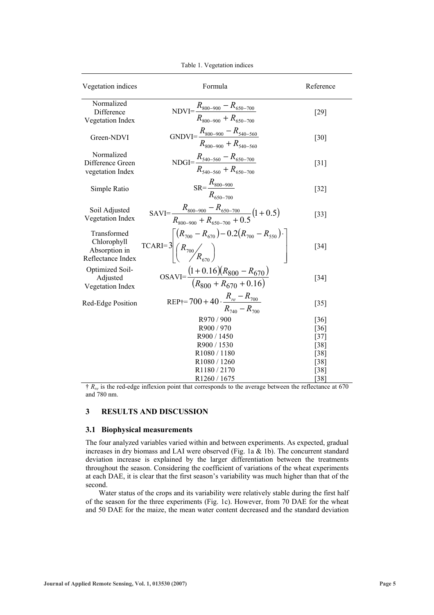| Vegetation indices                                               | Formula                                                                                                                                   | Reference                                                |
|------------------------------------------------------------------|-------------------------------------------------------------------------------------------------------------------------------------------|----------------------------------------------------------|
| Normalized<br>Difference<br>Vegetation Index                     | $NDVI = \frac{R_{800-900} - R_{650-700}}{R_{800-900} + R_{650-700}}$                                                                      | [29]                                                     |
| Green-NDVI                                                       | GNDVI= $\frac{R_{800-900} - R_{540-560}}{R_{800-900} + R_{540-560}}$                                                                      | [30]                                                     |
| Normalized<br>Difference Green<br>vegetation Index               | NDGI= $\frac{R_{540-560} - R_{650-700}}{R_{540-560} + R_{650-700}}$                                                                       | $\lceil 31 \rceil$                                       |
| Simple Ratio                                                     | $SR = \frac{R_{800-900}}{R_{650-700}}$                                                                                                    | $[32]$                                                   |
| Soil Adjusted<br>Vegetation Index                                | SAVI= $\frac{R_{800-900} - R_{650-700}}{R_{\text{on}} - R_{\text{non}} + R_{\kappa 50-700} + 0.5} (1 + 0.5)$                              | $[33]$                                                   |
| Transformed<br>Chlorophyll<br>Absorption in<br>Reflectance Index | $\text{TCARI=3}\left[\begin{pmatrix} R_{700} - R_{670} \end{pmatrix} - 0.2 \begin{pmatrix} R_{700} - R_{550} \end{pmatrix} \cdot \right]$ | $\left[34\right]$                                        |
| Optimized Soil-<br>Adjusted<br>Vegetation Index                  | $OSAVI = \frac{(1+0.16)(R_{800} - R_{670})}{(R_{800} + R_{670} + 0.16)}$                                                                  | $[34]$                                                   |
| Red-Edge Position                                                | REP <sub>†</sub> =700 + 40 · $\frac{R_{re} - R_{700}}{R_{740} - R_{700}}$                                                                 | $[35]$                                                   |
|                                                                  | R970/900<br>R900 / 970<br>R900 / 1450<br>R900 / 1530<br>R1080 / 1180<br>R1080 / 1260<br>R <sub>1180</sub> / 2170                          | [36]<br>$[36]$<br>[37]<br>[38]<br>[38]<br>$[38]$<br>[38] |
|                                                                  | R1260 / 1675                                                                                                                              | $\lceil 38 \rceil$                                       |

Table 1. Vegetation indices

† *Rre* is the red-edge inflexion point that corresponds to the average between the reflectance at 670 and 780 nm.

## **3 RESULTS AND DISCUSSION**

## **3.1 Biophysical measurements**

The four analyzed variables varied within and between experiments. As expected, gradual increases in dry biomass and LAI were observed (Fig. 1a  $\&$  1b). The concurrent standard deviation increase is explained by the larger differentiation between the treatments throughout the season. Considering the coefficient of variations of the wheat experiments at each DAE, it is clear that the first season's variability was much higher than that of the second.

Water status of the crops and its variability were relatively stable during the first half of the season for the three experiments (Fig. 1c). However, from 70 DAE for the wheat and 50 DAE for the maize, the mean water content decreased and the standard deviation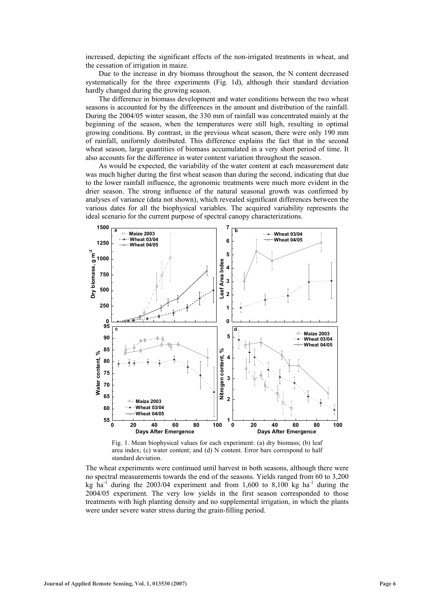increased, depicting the significant effects of the non-irrigated treatments in wheat, and the cessation of irrigation in maize.

Due to the increase in dry biomass throughout the season, the N content decreased systematically for the three experiments (Fig. 1d), although their standard deviation hardly changed during the growing season.

The difference in biomass development and water conditions between the two wheat seasons is accounted for by the differences in the amount and distribution of the rainfall. During the 2004/05 winter season, the 330 mm of rainfall was concentrated mainly at the beginning of the season, when the temperatures were still high, resulting in optimal growing conditions. By contrast, in the previous wheat season, there were only 190 mm of rainfall, uniformly distributed. This difference explains the fact that in the second wheat season, large quantities of biomass accumulated in a very short period of time. It also accounts for the difference in water content variation throughout the season.

As would be expected, the variability of the water content at each measurement date was much higher during the first wheat season than during the second, indicating that due to the lower rainfall influence, the agronomic treatments were much more evident in the drier season. The strong influence of the natural seasonal growth was confirmed by analyses of variance (data not shown), which revealed significant differences between the various dates for all the biophysical variables. The acquired variability represents the ideal scenario for the current purpose of spectral canopy characterizations.



Fig. 1. Mean biophysical values for each experiment: (a) dry biomass; (b) leaf area index; (c) water content; and (d) N content. Error bars correspond to half standard deviation.

The wheat experiments were continued until harvest in both seasons, although there were no spectral measurements towards the end of the seasons. Yields ranged from 60 to 3,200 kg ha<sup>-1</sup> during the 2003/04 experiment and from 1,600 to 8,100 kg ha<sup>-1</sup> during the 2004/05 experiment. The very low yields in the first season corresponded to those treatments with high planting density and no supplemental irrigation, in which the plants were under severe water stress during the grain-filling period.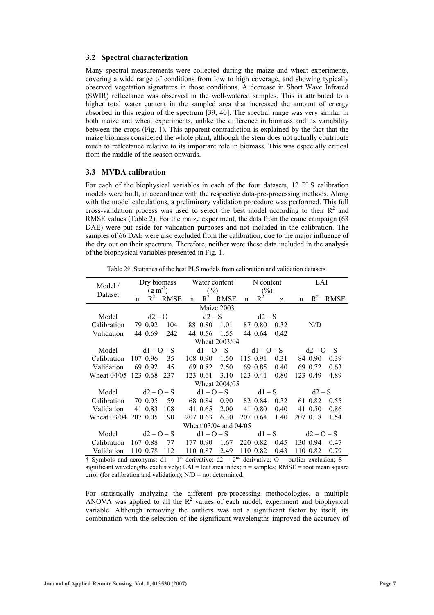## **3.2 Spectral characterization**

Many spectral measurements were collected during the maize and wheat experiments, covering a wide range of conditions from low to high coverage, and showing typically observed vegetation signatures in those conditions. A decrease in Short Wave Infrared (SWIR) reflectance was observed in the well-watered samples. This is attributed to a higher total water content in the sampled area that increased the amount of energy absorbed in this region of the spectrum [39, 40]. The spectral range was very similar in both maize and wheat experiments, unlike the difference in biomass and its variability between the crops (Fig. 1). This apparent contradiction is explained by the fact that the maize biomass considered the whole plant, although the stem does not actually contribute much to reflectance relative to its important role in biomass. This was especially critical from the middle of the season onwards.

## **3.3 MVDA calibration**

For each of the biophysical variables in each of the four datasets, 12 PLS calibration models were built, in accordance with the respective data-pre-processing methods. Along with the model calculations, a preliminary validation procedure was performed. This full cross-validation process was used to select the best model according to their  $R<sup>2</sup>$  and RMSE values (Table 2). For the maize experiment, the data from the crane campaign (63 DAE) were put aside for validation purposes and not included in the calibration. The samples of 66 DAE were also excluded from the calibration, due to the major influence of the dry out on their spectrum. Therefore, neither were these data included in the analysis of the biophysical variables presented in Fig. 1.

Table 2†. Statistics of the best PLS models from calibration and validation datasets.

| Model /                  | Dry biomass        |          | Water content |                                                  |          | N content             |                                |          | LAI            |                           |          |             |
|--------------------------|--------------------|----------|---------------|--------------------------------------------------|----------|-----------------------|--------------------------------|----------|----------------|---------------------------|----------|-------------|
| Dataset                  | $(g m-2)$          |          |               | (%)                                              |          |                       | $\frac{6}{2}$                  |          |                |                           |          |             |
|                          | n                  |          | $R^2$ RMSE    | $\mathbf n$                                      |          | $R^2$ RMSE            | $\mathbf n$                    | $R^2$    | e              | n                         | $R^2$    | <b>RMSE</b> |
| Maize 2003               |                    |          |               |                                                  |          |                       |                                |          |                |                           |          |             |
| Model                    | $d2 - Q$           |          |               | $d2-S$                                           |          |                       | $d2-S$                         |          |                |                           |          |             |
| Calibration              |                    | 79 0.92  | 104           |                                                  |          | 88 0.80 1.01          |                                | 87 0.80  | 0.32           |                           | N/D      |             |
| Validation               |                    | 44 0.69  | 242           |                                                  |          | 44 0.56 1.55 44 0.64  |                                |          | 0.42           |                           |          |             |
| Wheat 2003/04            |                    |          |               |                                                  |          |                       |                                |          |                |                           |          |             |
|                          | Model $d1 - Q - S$ |          |               | $d1 - Q - S$                                     |          |                       |                                |          |                | $d1 - Q - S$ $d2 - Q - S$ |          |             |
| Calibration              |                    |          | 107 0.96 35   |                                                  |          | 108 0.90 1.50         |                                | 115 0.91 | $0.31$ 84 0.90 |                           |          | 0.39        |
| Validation               |                    | 69 0.92  | 45            |                                                  |          | 69 0.82 2.50          |                                | 69 0.85  | 0.40           |                           | 69 0.72  | 0.63        |
| Wheat 04/05 123 0.68 237 |                    |          |               |                                                  | 123 0.61 | 3.10                  |                                | 123 0.41 | 0.80           |                           | 123 0.49 | 4.89        |
| Wheat 2004/05            |                    |          |               |                                                  |          |                       |                                |          |                |                           |          |             |
| Model                    | $d2 - O - S$       |          |               |                                                  |          |                       | $d1 - Q - S$ $d1 - S$ $d2 - S$ |          |                |                           |          |             |
| Calibration              |                    |          | 70 0.95 59    |                                                  |          | 68 0.84 0.90 82 0.84  |                                |          | $0.32$ 61 0.82 |                           |          | 0.55        |
| Validation               |                    | 41 0.83  | 108           |                                                  | 41 0.65  | 2.00 41 0.80          |                                |          | 0.40           |                           | 41 0.50  | 0.86        |
| Wheat 03/04 207 0.05     |                    |          | -190          |                                                  |          | 207 0.63 6.30         |                                | 207 0.64 | 1.40           |                           | 207 0.18 | 1.54        |
| Wheat 03/04 and 04/05    |                    |          |               |                                                  |          |                       |                                |          |                |                           |          |             |
| Model                    |                    |          |               | $d^2 - 0 - S$ $d1 - 0 - S$ $d1 - S$ $d2 - 0 - S$ |          |                       |                                |          |                |                           |          |             |
| Calibration              |                    | 167 0.88 | - 77          |                                                  | 177 0.90 | 1.67                  |                                | 220 0.82 | 0.45           |                           | 130 0.94 | 0.47        |
| Validation               |                    | 110 0.78 | 112           |                                                  | 110 0.87 | 2.49<br>$12 \quad 20$ |                                | 110 0.82 | 0.43           |                           | 110 0.82 | 0.79        |

† Symbols and acronyms:  $d1 = 1^{st}$  derivative;  $d2 = 2^{nd}$  derivative; O = outlier exclusion; S = significant wavelengths exclusively;  $LAI = leaf$  area index;  $n =$  samples;  $RMSE =$  root mean square error (for calibration and validation); N/D = not determined.

For statistically analyzing the different pre-processing methodologies, a multiple ANOVA was applied to all the  $R^2$  values of each model, experiment and biophysical variable. Although removing the outliers was not a significant factor by itself, its combination with the selection of the significant wavelengths improved the accuracy of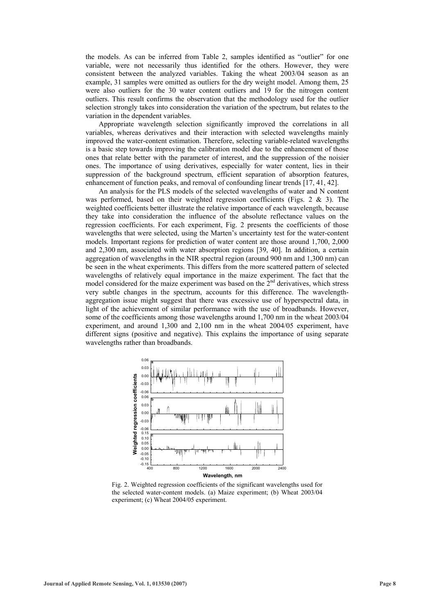the models. As can be inferred from Table 2, samples identified as "outlier" for one variable, were not necessarily thus identified for the others. However, they were consistent between the analyzed variables. Taking the wheat 2003/04 season as an example, 31 samples were omitted as outliers for the dry weight model. Among them, 25 were also outliers for the 30 water content outliers and 19 for the nitrogen content outliers. This result confirms the observation that the methodology used for the outlier selection strongly takes into consideration the variation of the spectrum, but relates to the variation in the dependent variables.

Appropriate wavelength selection significantly improved the correlations in all variables, whereas derivatives and their interaction with selected wavelengths mainly improved the water-content estimation. Therefore, selecting variable-related wavelengths is a basic step towards improving the calibration model due to the enhancement of those ones that relate better with the parameter of interest, and the suppression of the noisier ones. The importance of using derivatives, especially for water content, lies in their suppression of the background spectrum, efficient separation of absorption features, enhancement of function peaks, and removal of confounding linear trends [17, 41, 42].

An analysis for the PLS models of the selected wavelengths of water and N content was performed, based on their weighted regression coefficients (Figs. 2 & 3). The weighted coefficients better illustrate the relative importance of each wavelength, because they take into consideration the influence of the absolute reflectance values on the regression coefficients. For each experiment, Fig. 2 presents the coefficients of those wavelengths that were selected, using the Marten's uncertainty test for the water-content models. Important regions for prediction of water content are those around 1,700, 2,000 and 2,300 nm, associated with water absorption regions [39, 40]. In addition, a certain aggregation of wavelengths in the NIR spectral region (around 900 nm and 1,300 nm) can be seen in the wheat experiments. This differs from the more scattered pattern of selected wavelengths of relatively equal importance in the maize experiment. The fact that the model considered for the maize experiment was based on the  $2<sup>nd</sup>$  derivatives, which stress very subtle changes in the spectrum, accounts for this difference. The wavelengthaggregation issue might suggest that there was excessive use of hyperspectral data, in light of the achievement of similar performance with the use of broadbands. However, some of the coefficients among those wavelengths around 1,700 nm in the wheat 2003/04 experiment, and around 1,300 and 2,100 nm in the wheat 2004/05 experiment, have different signs (positive and negative). This explains the importance of using separate wavelengths rather than broadbands.



Fig. 2. Weighted regression coefficients of the significant wavelengths used for the selected water-content models. (a) Maize experiment; (b) Wheat 2003/04 experiment; (c) Wheat 2004/05 experiment.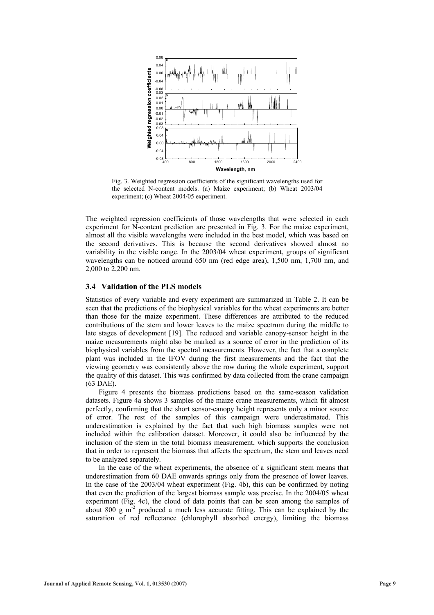

Fig. 3. Weighted regression coefficients of the significant wavelengths used for the selected N-content models. (a) Maize experiment; (b) Wheat 2003/04 experiment; (c) Wheat 2004/05 experiment.

The weighted regression coefficients of those wavelengths that were selected in each experiment for N-content prediction are presented in Fig. 3. For the maize experiment, almost all the visible wavelengths were included in the best model, which was based on the second derivatives. This is because the second derivatives showed almost no variability in the visible range. In the 2003/04 wheat experiment, groups of significant wavelengths can be noticed around 650 nm (red edge area), 1,500 nm, 1,700 nm, and 2,000 to 2,200 nm.

#### **3.4 Validation of the PLS models**

Statistics of every variable and every experiment are summarized in Table 2. It can be seen that the predictions of the biophysical variables for the wheat experiments are better than those for the maize experiment. These differences are attributed to the reduced contributions of the stem and lower leaves to the maize spectrum during the middle to late stages of development [19]. The reduced and variable canopy-sensor height in the maize measurements might also be marked as a source of error in the prediction of its biophysical variables from the spectral measurements. However, the fact that a complete plant was included in the IFOV during the first measurements and the fact that the viewing geometry was consistently above the row during the whole experiment, support the quality of this dataset. This was confirmed by data collected from the crane campaign (63 DAE).

Figure 4 presents the biomass predictions based on the same-season validation datasets. Figure 4a shows 3 samples of the maize crane measurements, which fit almost perfectly, confirming that the short sensor-canopy height represents only a minor source of error. The rest of the samples of this campaign were underestimated. This underestimation is explained by the fact that such high biomass samples were not included within the calibration dataset. Moreover, it could also be influenced by the inclusion of the stem in the total biomass measurement, which supports the conclusion that in order to represent the biomass that affects the spectrum, the stem and leaves need to be analyzed separately.

In the case of the wheat experiments, the absence of a significant stem means that underestimation from 60 DAE onwards springs only from the presence of lower leaves. In the case of the 2003/04 wheat experiment (Fig. 4b), this can be confirmed by noting that even the prediction of the largest biomass sample was precise. In the 2004/05 wheat experiment (Fig. 4c), the cloud of data points that can be seen among the samples of about 800 g  $m<sup>2</sup>$  produced a much less accurate fitting. This can be explained by the saturation of red reflectance (chlorophyll absorbed energy), limiting the biomass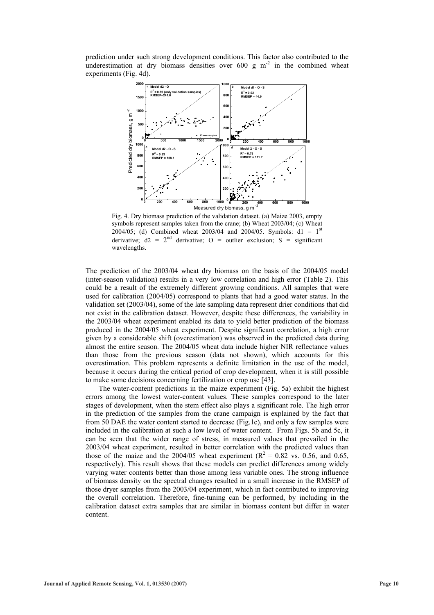prediction under such strong development conditions. This factor also contributed to the underestimation at dry biomass densities over  $600 \text{ g m}^2$  in the combined wheat experiments (Fig. 4d).



Fig. 4. Dry biomass prediction of the validation dataset. (a) Maize 2003, empty symbols represent samples taken from the crane; (b) Wheat 2003/04; (c) Wheat 2004/05; (d) Combined wheat 2003/04 and 2004/05. Symbols:  $d1 = 1^{st}$ derivative;  $d2 = 2<sup>nd</sup>$  derivative; O = outlier exclusion; S = significant wavelengths.

The prediction of the 2003/04 wheat dry biomass on the basis of the 2004/05 model (inter-season validation) results in a very low correlation and high error (Table 2). This could be a result of the extremely different growing conditions. All samples that were used for calibration (2004/05) correspond to plants that had a good water status. In the validation set (2003/04), some of the late sampling data represent drier conditions that did not exist in the calibration dataset. However, despite these differences, the variability in the 2003/04 wheat experiment enabled its data to yield better prediction of the biomass produced in the 2004/05 wheat experiment. Despite significant correlation, a high error given by a considerable shift (overestimation) was observed in the predicted data during almost the entire season. The 2004/05 wheat data include higher NIR reflectance values than those from the previous season (data not shown), which accounts for this overestimation. This problem represents a definite limitation in the use of the model, because it occurs during the critical period of crop development, when it is still possible to make some decisions concerning fertilization or crop use [43].

The water-content predictions in the maize experiment (Fig. 5a) exhibit the highest errors among the lowest water-content values. These samples correspond to the later stages of development, when the stem effect also plays a significant role. The high error in the prediction of the samples from the crane campaign is explained by the fact that from 50 DAE the water content started to decrease (Fig.1c), and only a few samples were included in the calibration at such a low level of water content. From Figs. 5b and 5c, it can be seen that the wider range of stress, in measured values that prevailed in the 2003/04 wheat experiment, resulted in better correlation with the predicted values than those of the maize and the 2004/05 wheat experiment ( $R^2 = 0.82$  vs. 0.56, and 0.65, respectively). This result shows that these models can predict differences among widely varying water contents better than those among less variable ones. The strong influence of biomass density on the spectral changes resulted in a small increase in the RMSEP of those dryer samples from the 2003/04 experiment, which in fact contributed to improving the overall correlation. Therefore, fine-tuning can be performed, by including in the calibration dataset extra samples that are similar in biomass content but differ in water content.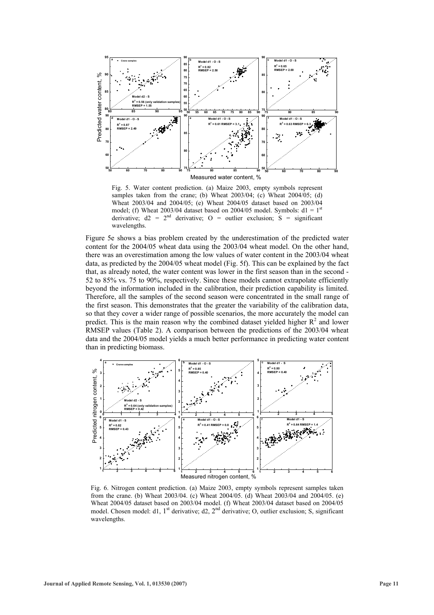

Fig. 5. Water content prediction. (a) Maize 2003, empty symbols represent samples taken from the crane; (b) Wheat 2003/04; (c) Wheat 2004/05; (d) Wheat 2003/04 and 2004/05; (e) Wheat 2004/05 dataset based on 2003/04 model; (f) Wheat 2003/04 dataset based on 2004/05 model. Symbols:  $d1 = 1^{st}$ derivative;  $d2 = 2<sup>nd</sup>$  derivative; O = outlier exclusion; S = significant wavelengths.

Figure 5e shows a bias problem created by the underestimation of the predicted water content for the 2004/05 wheat data using the 2003/04 wheat model. On the other hand, there was an overestimation among the low values of water content in the 2003/04 wheat data, as predicted by the 2004/05 wheat model (Fig. 5f). This can be explained by the fact that, as already noted, the water content was lower in the first season than in the second - 52 to 85% vs. 75 to 90%, respectively. Since these models cannot extrapolate efficiently beyond the information included in the calibration, their prediction capability is limited. Therefore, all the samples of the second season were concentrated in the small range of the first season. This demonstrates that the greater the variability of the calibration data, so that they cover a wider range of possible scenarios, the more accurately the model can predict. This is the main reason why the combined dataset yielded higher  $R^2$  and lower RMSEP values (Table 2). A comparison between the predictions of the 2003/04 wheat data and the 2004/05 model yields a much better performance in predicting water content than in predicting biomass.



Fig. 6. Nitrogen content prediction. (a) Maize 2003, empty symbols represent samples taken from the crane. (b) Wheat 2003/04. (c) Wheat 2004/05. (d) Wheat 2003/04 and 2004/05. (e) Wheat 2004/05 dataset based on 2003/04 model. (f) Wheat 2003/04 dataset based on 2004/05 model. Chosen model: d1, 1<sup>st</sup> derivative; d2, 2<sup>nd</sup> derivative; O, outlier exclusion; S, significant wavelengths.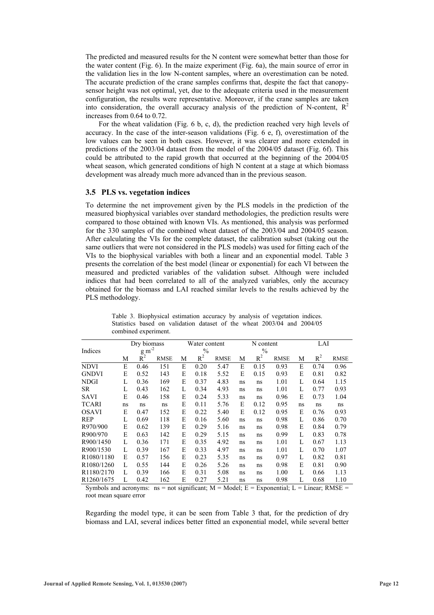The predicted and measured results for the N content were somewhat better than those for the water content (Fig. 6). In the maize experiment (Fig. 6a), the main source of error in the validation lies in the low N-content samples, where an overestimation can be noted. The accurate prediction of the crane samples confirms that, despite the fact that canopysensor height was not optimal, yet, due to the adequate criteria used in the measurement configuration, the results were representative. Moreover, if the crane samples are taken into consideration, the overall accuracy analysis of the prediction of N-content,  $R^2$ increases from 0.64 to 0.72.

For the wheat validation (Fig. 6 b, c, d), the prediction reached very high levels of accuracy. In the case of the inter-season validations (Fig. 6 e, f), overestimation of the low values can be seen in both cases. However, it was clearer and more extended in predictions of the 2003/04 dataset from the model of the 2004/05 dataset (Fig. 6f). This could be attributed to the rapid growth that occurred at the beginning of the 2004/05 wheat season, which generated conditions of high N content at a stage at which biomass development was already much more advanced than in the previous season.

## **3.5 PLS vs. vegetation indices**

To determine the net improvement given by the PLS models in the prediction of the measured biophysical variables over standard methodologies, the prediction results were compared to those obtained with known VIs. As mentioned, this analysis was performed for the 330 samples of the combined wheat dataset of the 2003/04 and 2004/05 season. After calculating the VIs for the complete dataset, the calibration subset (taking out the same outliers that were not considered in the PLS models) was used for fitting each of the VIs to the biophysical variables with both a linear and an exponential model. Table 3 presents the correlation of the best model (linear or exponential) for each VI between the measured and predicted variables of the validation subset. Although were included indices that had been correlated to all of the analyzed variables, only the accuracy obtained for the biomass and LAI reached similar levels to the results achieved by the PLS methodology.

|                         | Dry biomass         |       |             | Water content |       |             | N content |       |             | LAI |       |             |
|-------------------------|---------------------|-------|-------------|---------------|-------|-------------|-----------|-------|-------------|-----|-------|-------------|
| Indices                 | $g$ m <sup>-2</sup> |       |             | $\%$          |       |             | $\%$      |       |             |     |       |             |
|                         | М                   | $R^2$ | <b>RMSE</b> | М             | $R^2$ | <b>RMSE</b> | М         | $R^2$ | <b>RMSE</b> | М   | $R^2$ | <b>RMSE</b> |
| <b>NDVI</b>             | E                   | 0.46  | 151         | E             | 0.20  | 5.47        | E         | 0.15  | 0.93        | E   | 0.74  | 0.96        |
| <b>GNDVI</b>            | E                   | 0.52  | 143         | E             | 0.18  | 5.52        | E         | 0.15  | 0.93        | E   | 0.81  | 0.82        |
| <b>NDGI</b>             | L                   | 0.36  | 169         | E             | 0.37  | 4.83        | ns        | ns    | 1.01        | L   | 0.64  | 1.15        |
| SR.                     | L                   | 0.43  | 162         | L             | 0.34  | 4.93        | ns        | ns    | 1.01        | L   | 0.77  | 0.93        |
| <b>SAVI</b>             | E                   | 0.46  | 158         | E             | 0.24  | 5.33        | ns        | ns    | 0.96        | E   | 0.73  | 1.04        |
| <b>TCARI</b>            | ns                  | ns    | ns          | E             | 0.11  | 5.76        | E         | 0.12  | 0.95        | ns  | ns    | ns          |
| <b>OSAVI</b>            | E                   | 0.47  | 152         | E             | 0.22  | 5.40        | E         | 0.12  | 0.95        | E   | 0.76  | 0.93        |
| <b>REP</b>              | L                   | 0.69  | 118         | E             | 0.16  | 5.60        | ns        | ns    | 0.98        | L   | 0.86  | 0.70        |
| R970/900                | E                   | 0.62  | 139         | E             | 0.29  | 5.16        | ns        | ns    | 0.98        | E   | 0.84  | 0.79        |
| R900/970                | E                   | 0.63  | 142         | E             | 0.29  | 5.15        | ns        | ns    | 0.99        | L   | 0.83  | 0.78        |
| R900/1450               | L                   | 0.36  | 171         | E             | 0.35  | 4.92        | ns        | ns    | 1.01        | L   | 0.67  | 1.13        |
| R900/1530               | L                   | 0.39  | 167         | E             | 0.33  | 4.97        | ns        | ns    | 1.01        | L   | 0.70  | 1.07        |
| R <sub>1080</sub> /1180 | E                   | 0.57  | 156         | E             | 0.23  | 5.35        | ns        | ns    | 0.97        | L   | 0.82  | 0.81        |
| R <sub>1080</sub> /1260 | L                   | 0.55  | 144         | E             | 0.26  | 5.26        | ns        | ns    | 0.98        | E   | 0.81  | 0.90        |
| R <sub>1180</sub> /2170 | L                   | 0.39  | 166         | E             | 0.31  | 5.08        | ns        | ns    | 1.00        | L   | 0.66  | 1.13        |
| R <sub>1260</sub> /1675 | L                   | 0.42  | 162         | E             | 0.27  | 5.21        | ns        | ns    | 0.98        | L   | 0.68  | 1.10        |

Table 3. Biophysical estimation accuracy by analysis of vegetation indices. Statistics based on validation dataset of the wheat 2003/04 and 2004/05 combined experiment.

Symbols and acronyms: ns = not significant;  $M = Model$ ;  $E = Exponential$ ;  $L = Linear$ ;  $RMSE =$ root mean square error

Regarding the model type, it can be seen from Table 3 that, for the prediction of dry biomass and LAI, several indices better fitted an exponential model, while several better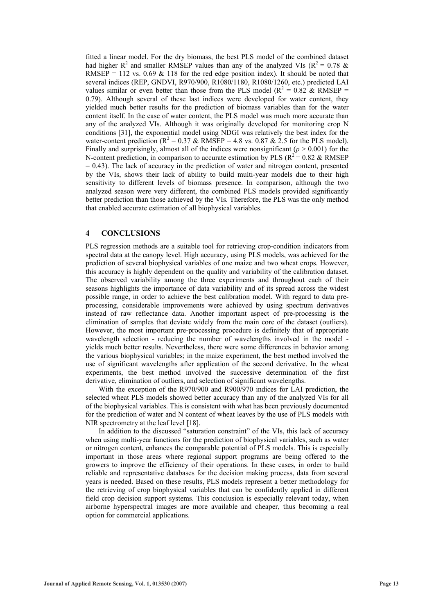fitted a linear model. For the dry biomass, the best PLS model of the combined dataset had higher  $R^2$  and smaller RMSEP values than any of the analyzed VIs ( $R^2 = 0.78$  & RMSEP = 112 vs. 0.69  $\&$  118 for the red edge position index). It should be noted that several indices (REP, GNDVI, R970/900, R1080/1180, R1080/1260, etc.) predicted LAI values similar or even better than those from the PLS model ( $R^2 = 0.82$  & RMSEP = 0.79). Although several of these last indices were developed for water content, they yielded much better results for the prediction of biomass variables than for the water content itself. In the case of water content, the PLS model was much more accurate than any of the analyzed VIs. Although it was originally developed for monitoring crop N conditions [31], the exponential model using NDGI was relatively the best index for the water-content prediction ( $R^2 = 0.37$  & RMSEP = 4.8 vs. 0.87 & 2.5 for the PLS model). Finally and surprisingly, almost all of the indices were nonsignificant ( $p > 0.001$ ) for the N-content prediction, in comparison to accurate estimation by PLS ( $R^2 = 0.82 \& RMSEP$ )  $= 0.43$ ). The lack of accuracy in the prediction of water and nitrogen content, presented by the VIs, shows their lack of ability to build multi-year models due to their high sensitivity to different levels of biomass presence. In comparison, although the two analyzed season were very different, the combined PLS models provided significantly better prediction than those achieved by the VIs. Therefore, the PLS was the only method that enabled accurate estimation of all biophysical variables.

## **4 CONCLUSIONS**

PLS regression methods are a suitable tool for retrieving crop-condition indicators from spectral data at the canopy level. High accuracy, using PLS models, was achieved for the prediction of several biophysical variables of one maize and two wheat crops. However, this accuracy is highly dependent on the quality and variability of the calibration dataset. The observed variability among the three experiments and throughout each of their seasons highlights the importance of data variability and of its spread across the widest possible range, in order to achieve the best calibration model. With regard to data preprocessing, considerable improvements were achieved by using spectrum derivatives instead of raw reflectance data. Another important aspect of pre-processing is the elimination of samples that deviate widely from the main core of the dataset (outliers). However, the most important pre-processing procedure is definitely that of appropriate wavelength selection - reducing the number of wavelengths involved in the model yields much better results. Nevertheless, there were some differences in behavior among the various biophysical variables; in the maize experiment, the best method involved the use of significant wavelengths after application of the second derivative. In the wheat experiments, the best method involved the successive determination of the first derivative, elimination of outliers, and selection of significant wavelengths.

With the exception of the R970/900 and R900/970 indices for LAI prediction, the selected wheat PLS models showed better accuracy than any of the analyzed VIs for all of the biophysical variables. This is consistent with what has been previously documented for the prediction of water and N content of wheat leaves by the use of PLS models with NIR spectrometry at the leaf level [18].

In addition to the discussed "saturation constraint" of the VIs, this lack of accuracy when using multi-year functions for the prediction of biophysical variables, such as water or nitrogen content, enhances the comparable potential of PLS models. This is especially important in those areas where regional support programs are being offered to the growers to improve the efficiency of their operations. In these cases, in order to build reliable and representative databases for the decision making process, data from several years is needed. Based on these results, PLS models represent a better methodology for the retrieving of crop biophysical variables that can be confidently applied in different field crop decision support systems. This conclusion is especially relevant today, when airborne hyperspectral images are more available and cheaper, thus becoming a real option for commercial applications.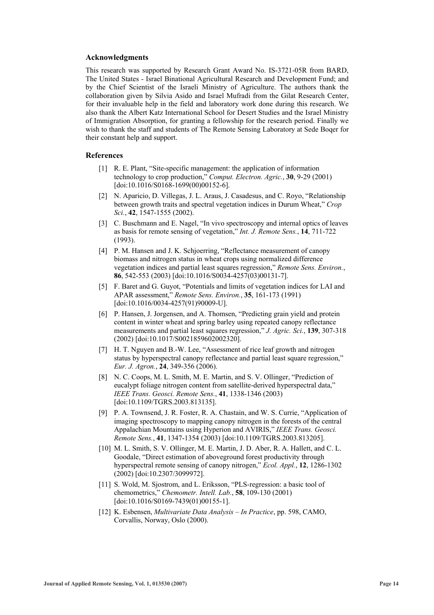#### **Acknowledgments**

This research was supported by Research Grant Award No. IS-3721-05R from BARD, The United States - Israel Binational Agricultural Research and Development Fund; and by the Chief Scientist of the Israeli Ministry of Agriculture. The authors thank the collaboration given by Silvia Asido and Israel Mufradi from the Gilat Research Center, for their invaluable help in the field and laboratory work done during this research. We also thank the Albert Katz International School for Desert Studies and the Israel Ministry of Immigration Absorption, for granting a fellowship for the research period. Finally we wish to thank the staff and students of The Remote Sensing Laboratory at Sede Boqer for their constant help and support.

## **References**

- [1] R. E. Plant, "Site-specific management: the application of information technology to crop production," *Comput. Electron. Agric.*, **30**, 9-29 (2001) [doi:10.1016/S0168-1699(00)00152-6].
- [2] N. Aparicio, D. Villegas, J. L. Araus, J. Casadesus, and C. Royo, "Relationship between growth traits and spectral vegetation indices in Durum Wheat," *Crop Sci.*, **42**, 1547-1555 (2002).
- [3] C. Buschmann and E. Nagel, "In vivo spectroscopy and internal optics of leaves as basis for remote sensing of vegetation," *Int. J. Remote Sens.*, **14**, 711-722 (1993).
- [4] P. M. Hansen and J. K. Schjoerring, "Reflectance measurement of canopy biomass and nitrogen status in wheat crops using normalized difference vegetation indices and partial least squares regression," *Remote Sens. Environ.*, **86**, 542-553 (2003) [doi:10.1016/S0034-4257(03)00131-7].
- [5] F. Baret and G. Guyot, "Potentials and limits of vegetation indices for LAI and APAR assessment," *Remote Sens. Environ.*, **35**, 161-173 (1991) [doi:10.1016/0034-4257(91)90009-U].
- [6] P. Hansen, J. Jorgensen, and A. Thomsen, "Predicting grain yield and protein content in winter wheat and spring barley using repeated canopy reflectance measurements and partial least squares regression," *J. Agric. Sci.*, **139**, 307-318 (2002) [doi:10.1017/S0021859602002320].
- [7] H. T. Nguyen and B.-W. Lee, "Assessment of rice leaf growth and nitrogen status by hyperspectral canopy reflectance and partial least square regression," *Eur. J. Agron.*, **24**, 349-356 (2006).
- [8] N. C. Coops, M. L. Smith, M. E. Martin, and S. V. Ollinger, "Prediction of eucalypt foliage nitrogen content from satellite-derived hyperspectral data," *IEEE Trans. Geosci. Remote Sens.*, **41**, 1338-1346 (2003) [doi:10.1109/TGRS.2003.813135].
- [9] P. A. Townsend, J. R. Foster, R. A. Chastain, and W. S. Currie, "Application of imaging spectroscopy to mapping canopy nitrogen in the forests of the central Appalachian Mountains using Hyperion and AVIRIS," *IEEE Trans. Geosci. Remote Sens.*, **41**, 1347-1354 (2003) [doi:10.1109/TGRS.2003.813205].
- [10] M. L. Smith, S. V. Ollinger, M. E. Martin, J. D. Aber, R. A. Hallett, and C. L. Goodale, "Direct estimation of aboveground forest productivity through hyperspectral remote sensing of canopy nitrogen," *Ecol. Appl.*, **12**, 1286-1302 (2002) [doi:10.2307/3099972].
- [11] S. Wold, M. Sjostrom, and L. Eriksson, "PLS-regression: a basic tool of chemometrics," *Chemometr. Intell. Lab.*, **58**, 109-130 (2001) [doi:10.1016/S0169-7439(01)00155-1].
- [12] K. Esbensen, *Multivariate Data Analysis In Practice*, pp. 598, CAMO, Corvallis, Norway, Oslo (2000).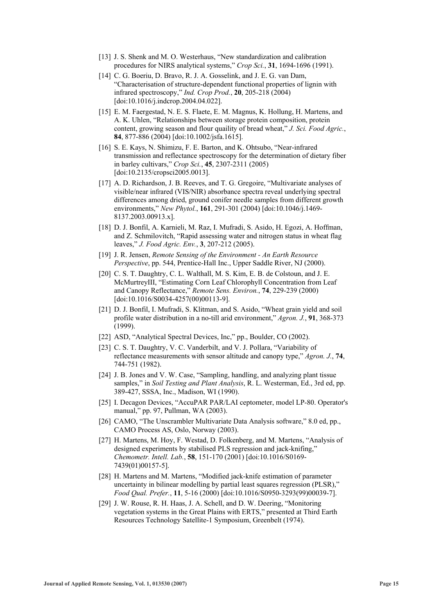- [13] J. S. Shenk and M. O. Westerhaus, "New standardization and calibration procedures for NIRS analytical systems," *Crop Sci.*, **31**, 1694-1696 (1991).
- [14] C. G. Boeriu, D. Bravo, R. J. A. Gosselink, and J. E. G. van Dam, "Characterisation of structure-dependent functional properties of lignin with infrared spectroscopy," *Ind. Crop Prod.*, **20**, 205-218 (2004) [doi:10.1016/j.indcrop.2004.04.022].
- [15] E. M. Faergestad, N. E. S. Flaete, E. M. Magnus, K. Hollung, H. Martens, and A. K. Uhlen, "Relationships between storage protein composition, protein content, growing season and flour quaility of bread wheat," *J. Sci. Food Agric.*, **84**, 877-886 (2004) [doi:10.1002/jsfa.1615].
- [16] S. E. Kays, N. Shimizu, F. E. Barton, and K. Ohtsubo, "Near-infrared transmission and reflectance spectroscopy for the determination of dietary fiber in barley cultivars," *Crop Sci.*, **45**, 2307-2311 (2005) [doi:10.2135/cropsci2005.0013].
- [17] A. D. Richardson, J. B. Reeves, and T. G. Gregoire, "Multivariate analyses of visible/near infrared (VIS/NIR) absorbance spectra reveal underlying spectral differences among dried, ground conifer needle samples from different growth environments," *New Phytol.*, **161**, 291-301 (2004) [doi:10.1046/j.1469- 8137.2003.00913.x].
- [18] D. J. Bonfil, A. Karnieli, M. Raz, I. Mufradi, S. Asido, H. Egozi, A. Hoffman, and Z. Schmilovitch, "Rapid assessing water and nitrogen status in wheat flag leaves," *J. Food Agric. Env.*, **3**, 207-212 (2005).
- [19] J. R. Jensen, *Remote Sensing of the Environment An Earth Resource Perspective*, pp. 544, Prentice-Hall Inc., Upper Saddle River, NJ (2000).
- [20] C. S. T. Daughtry, C. L. Walthall, M. S. Kim, E. B. de Colstoun, and J. E. McMurtreyIII, "Estimating Corn Leaf Chlorophyll Concentration from Leaf and Canopy Reflectance," *Remote Sens. Environ.*, **74**, 229-239 (2000) [doi:10.1016/S0034-4257(00)00113-9].
- [21] D. J. Bonfil, I. Mufradi, S. Klitman, and S. Asido, "Wheat grain yield and soil profile water distribution in a no-till arid environment," *Agron. J.*, **91**, 368-373 (1999).
- [22] ASD, "Analytical Spectral Devices, Inc," pp., Boulder, CO (2002).
- [23] C. S. T. Daughtry, V. C. Vanderbilt, and V. J. Pollara, "Variability of reflectance measurements with sensor altitude and canopy type," *Agron. J.*, **74**, 744-751 (1982).
- [24] J. B. Jones and V. W. Case, "Sampling, handling, and analyzing plant tissue samples," in *Soil Testing and Plant Analysis*, R. L. Westerman, Ed., 3rd ed, pp. 389-427, SSSA, Inc., Madison, WI (1990).
- [25] I. Decagon Devices, "AccuPAR PAR/LAI ceptometer, model LP-80. Operator's manual," pp. 97, Pullman, WA (2003).
- [26] CAMO, "The Unscrambler Multivariate Data Analysis software," 8.0 ed, pp., CAMO Process AS, Oslo, Norway (2003).
- [27] H. Martens, M. Hoy, F. Westad, D. Folkenberg, and M. Martens, "Analysis of designed experiments by stabilised PLS regression and jack-knifing," *Chemometr. Intell. Lab.*, **58**, 151-170 (2001) [doi:10.1016/S0169- 7439(01)00157-5].
- [28] H. Martens and M. Martens, "Modified jack-knife estimation of parameter uncertainty in bilinear modelling by partial least squares regression (PLSR)," *Food Qual. Prefer.*, **11**, 5-16 (2000) [doi:10.1016/S0950-3293(99)00039-7].
- [29] J. W. Rouse, R. H. Haas, J. A. Schell, and D. W. Deering, "Monitoring vegetation systems in the Great Plains with ERTS," presented at Third Earth Resources Technology Satellite-1 Symposium, Greenbelt (1974).